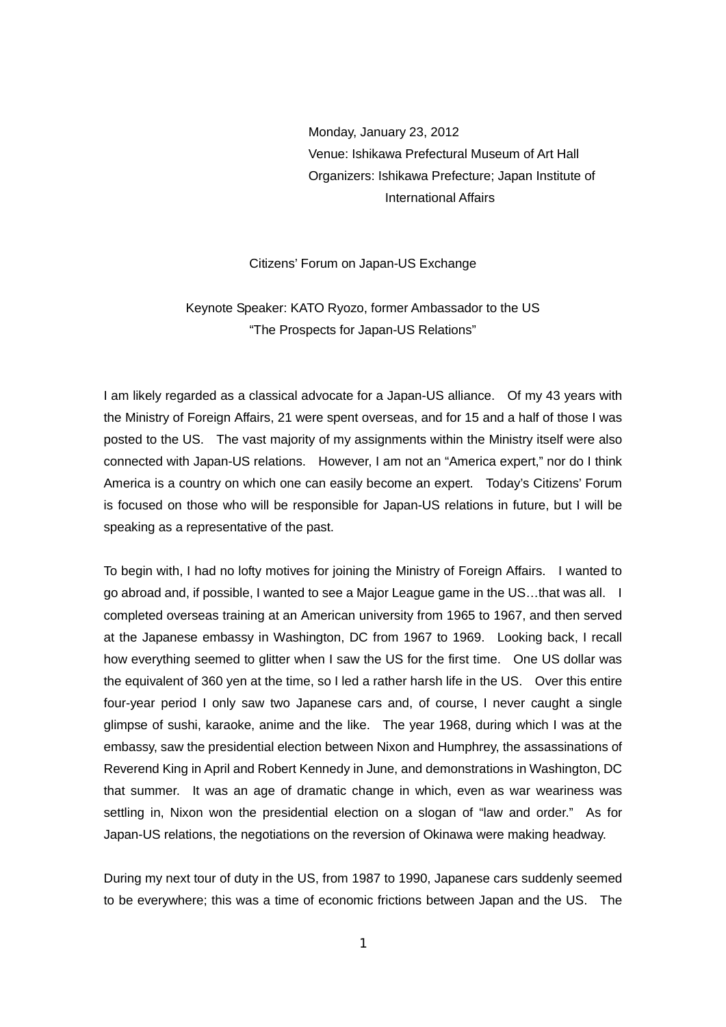Monday, January 23, 2012 Venue: Ishikawa Prefectural Museum of Art Hall Organizers: Ishikawa Prefecture; Japan Institute of International Affairs

Citizens' Forum on Japan-US Exchange

Keynote Speaker: KATO Ryozo, former Ambassador to the US "The Prospects for Japan-US Relations"

I am likely regarded as a classical advocate for a Japan-US alliance. Of my 43 years with the Ministry of Foreign Affairs, 21 were spent overseas, and for 15 and a half of those I was posted to the US. The vast majority of my assignments within the Ministry itself were also connected with Japan-US relations. However, I am not an "America expert," nor do I think America is a country on which one can easily become an expert. Today's Citizens' Forum is focused on those who will be responsible for Japan-US relations in future, but I will be speaking as a representative of the past.

To begin with, I had no lofty motives for joining the Ministry of Foreign Affairs. I wanted to go abroad and, if possible, I wanted to see a Major League game in the US…that was all. I completed overseas training at an American university from 1965 to 1967, and then served at the Japanese embassy in Washington, DC from 1967 to 1969. Looking back, I recall how everything seemed to glitter when I saw the US for the first time. One US dollar was the equivalent of 360 yen at the time, so I led a rather harsh life in the US. Over this entire four-year period I only saw two Japanese cars and, of course, I never caught a single glimpse of sushi, karaoke, anime and the like. The year 1968, during which I was at the embassy, saw the presidential election between Nixon and Humphrey, the assassinations of Reverend King in April and Robert Kennedy in June, and demonstrations in Washington, DC that summer. It was an age of dramatic change in which, even as war weariness was settling in, Nixon won the presidential election on a slogan of "law and order." As for Japan-US relations, the negotiations on the reversion of Okinawa were making headway.

During my next tour of duty in the US, from 1987 to 1990, Japanese cars suddenly seemed to be everywhere; this was a time of economic frictions between Japan and the US. The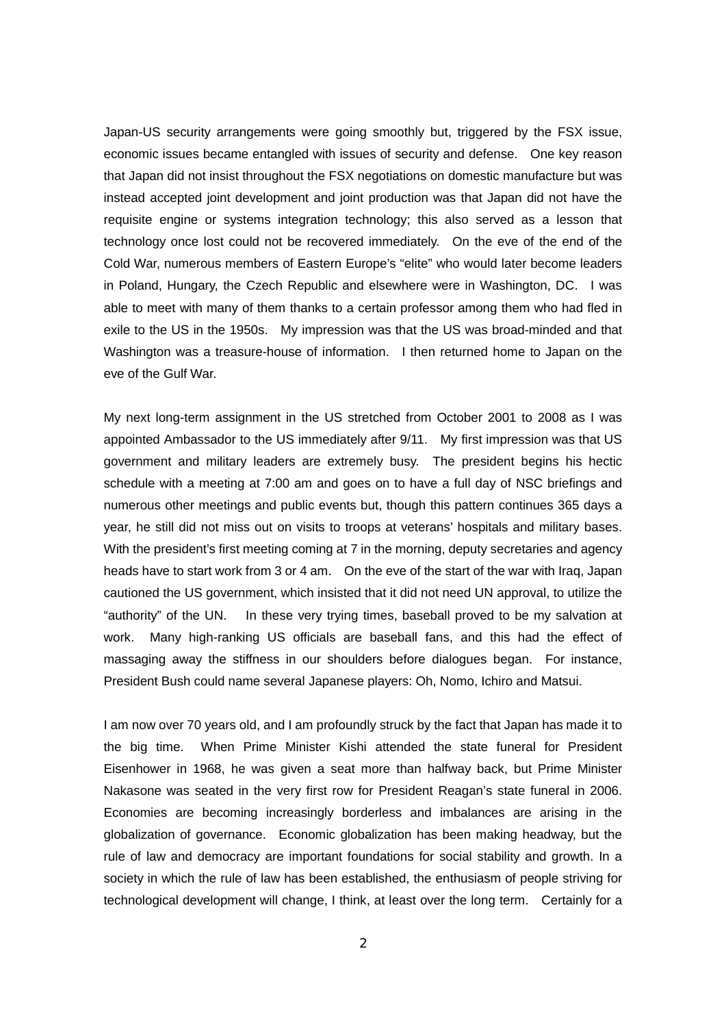Japan-US security arrangements were going smoothly but, triggered by the FSX issue, economic issues became entangled with issues of security and defense. One key reason that Japan did not insist throughout the FSX negotiations on domestic manufacture but was instead accepted joint development and joint production was that Japan did not have the requisite engine or systems integration technology; this also served as a lesson that technology once lost could not be recovered immediately. On the eve of the end of the Cold War, numerous members of Eastern Europe's "elite" who would later become leaders in Poland, Hungary, the Czech Republic and elsewhere were in Washington, DC. I was able to meet with many of them thanks to a certain professor among them who had fled in exile to the US in the 1950s. My impression was that the US was broad-minded and that Washington was a treasure-house of information. I then returned home to Japan on the eve of the Gulf War.

My next long-term assignment in the US stretched from October 2001 to 2008 as I was appointed Ambassador to the US immediately after 9/11. My first impression was that US government and military leaders are extremely busy. The president begins his hectic schedule with a meeting at 7:00 am and goes on to have a full day of NSC briefings and numerous other meetings and public events but, though this pattern continues 365 days a year, he still did not miss out on visits to troops at veterans' hospitals and military bases. With the president's first meeting coming at 7 in the morning, deputy secretaries and agency heads have to start work from 3 or 4 am. On the eve of the start of the war with Iraq, Japan cautioned the US government, which insisted that it did not need UN approval, to utilize the "authority" of the UN. In these very trying times, baseball proved to be my salvation at work. Many high-ranking US officials are baseball fans, and this had the effect of massaging away the stiffness in our shoulders before dialogues began. For instance, President Bush could name several Japanese players: Oh, Nomo, Ichiro and Matsui.

I am now over 70 years old, and I am profoundly struck by the fact that Japan has made it to the big time. When Prime Minister Kishi attended the state funeral for President Eisenhower in 1968, he was given a seat more than halfway back, but Prime Minister Nakasone was seated in the very first row for President Reagan's state funeral in 2006. Economies are becoming increasingly borderless and imbalances are arising in the globalization of governance. Economic globalization has been making headway, but the rule of law and democracy are important foundations for social stability and growth. In a society in which the rule of law has been established, the enthusiasm of people striving for technological development will change, I think, at least over the long term. Certainly for a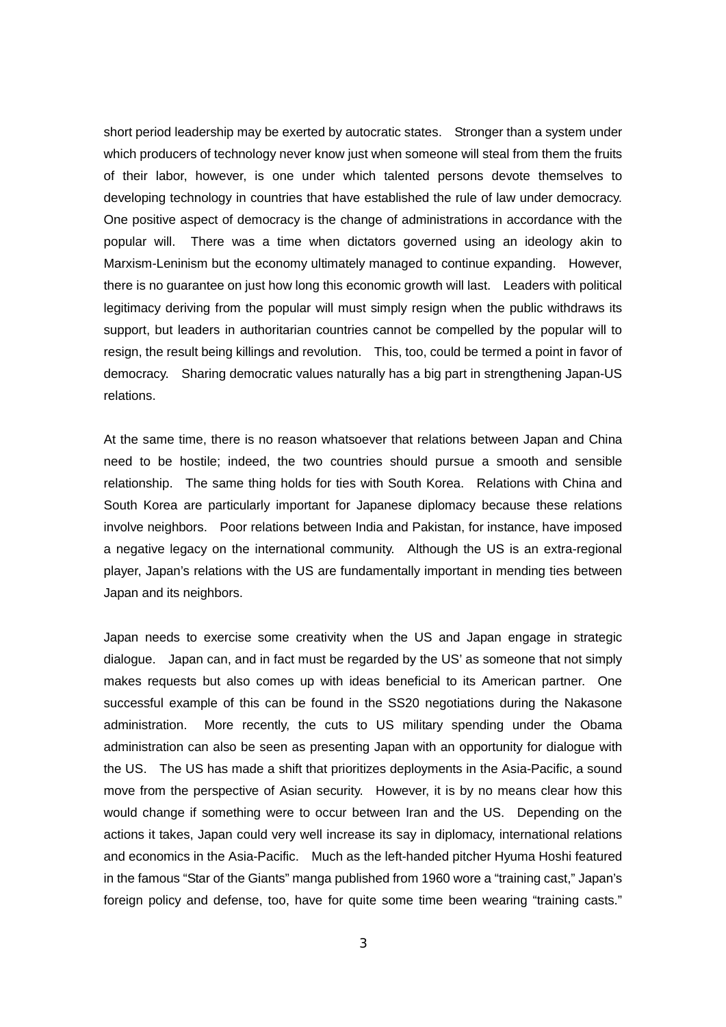short period leadership may be exerted by autocratic states. Stronger than a system under which producers of technology never know just when someone will steal from them the fruits of their labor, however, is one under which talented persons devote themselves to developing technology in countries that have established the rule of law under democracy. One positive aspect of democracy is the change of administrations in accordance with the popular will. There was a time when dictators governed using an ideology akin to Marxism-Leninism but the economy ultimately managed to continue expanding. However, there is no guarantee on just how long this economic growth will last. Leaders with political legitimacy deriving from the popular will must simply resign when the public withdraws its support, but leaders in authoritarian countries cannot be compelled by the popular will to resign, the result being killings and revolution. This, too, could be termed a point in favor of democracy. Sharing democratic values naturally has a big part in strengthening Japan-US relations.

At the same time, there is no reason whatsoever that relations between Japan and China need to be hostile; indeed, the two countries should pursue a smooth and sensible relationship. The same thing holds for ties with South Korea. Relations with China and South Korea are particularly important for Japanese diplomacy because these relations involve neighbors. Poor relations between India and Pakistan, for instance, have imposed a negative legacy on the international community. Although the US is an extra-regional player, Japan's relations with the US are fundamentally important in mending ties between Japan and its neighbors.

Japan needs to exercise some creativity when the US and Japan engage in strategic dialogue. Japan can, and in fact must be regarded by the US' as someone that not simply makes requests but also comes up with ideas beneficial to its American partner. One successful example of this can be found in the SS20 negotiations during the Nakasone administration. More recently, the cuts to US military spending under the Obama administration can also be seen as presenting Japan with an opportunity for dialogue with the US. The US has made a shift that prioritizes deployments in the Asia-Pacific, a sound move from the perspective of Asian security. However, it is by no means clear how this would change if something were to occur between Iran and the US. Depending on the actions it takes, Japan could very well increase its say in diplomacy, international relations and economics in the Asia-Pacific. Much as the left-handed pitcher Hyuma Hoshi featured in the famous "Star of the Giants" manga published from 1960 wore a "training cast," Japan's foreign policy and defense, too, have for quite some time been wearing "training casts."